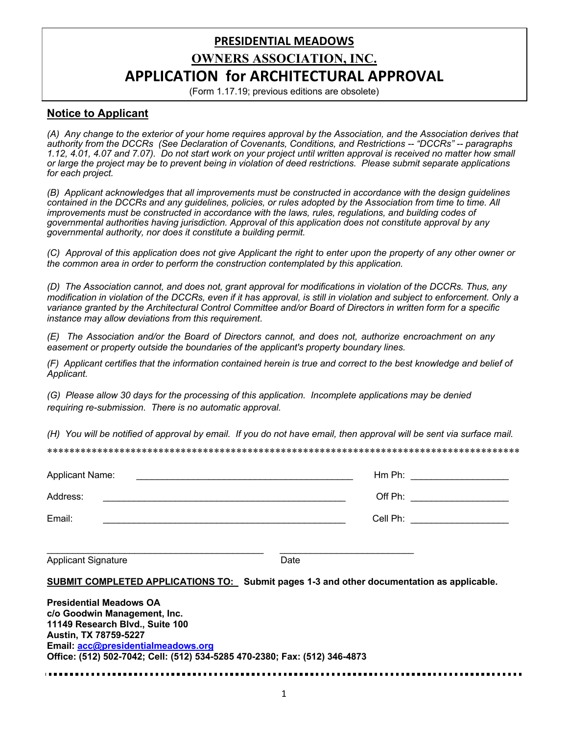# **PRESIDENTIAL MEADOWS OWNERS ASSOCIATION, INC. APPLICATION for ARCHITECTURAL APPROVAL**

(Form 1.17.19; previous editions are obsolete)

## **Notice to Applicant**

*(A) Any change to the exterior of your home requires approval by the Association, and the Association derives that authority from the DCCRs (See Declaration of Covenants, Conditions, and Restrictions -- "DCCRs" -- paragraphs 1.12, 4.01, 4.07 and 7.07). Do not start work on your project until written approval is received no matter how small or large the project may be to prevent being in violation of deed restrictions. Please submit separate applications for each project.* 

*(B) Applicant acknowledges that all improvements must be constructed in accordance with the design guidelines contained in the DCCRs and any guidelines, policies, or rules adopted by the Association from time to time. All improvements must be constructed in accordance with the laws, rules, regulations, and building codes of governmental authorities having jurisdiction. Approval of this application does not constitute approval by any governmental authority, nor does it constitute a building permit.*

*(C) Approval of this application does not give Applicant the right to enter upon the property of any other owner or the common area in order to perform the construction contemplated by this application.*

*(D) The Association cannot, and does not, grant approval for modifications in violation of the DCCRs. Thus, any modification in violation of the DCCRs, even if it has approval, is still in violation and subject to enforcement. Only a variance granted by the Architectural Control Committee and/or Board of Directors in written form for a specific instance may allow deviations from this requirement*.

*(E) The Association and/or the Board of Directors cannot, and does not, authorize encroachment on any easement or property outside the boundaries of the applicant's property boundary lines.* 

*(F) Applicant certifies that the information contained herein is true and correct to the best knowledge and belief of Applicant.*

*(G) Please allow 30 days for the processing of this application. Incomplete applications may be denied requiring re-submission. There is no automatic approval.*

*(H) You will be notified of approval by email. If you do not have email, then approval will be sent via surface mail.*

\*\*\*\*\*\*\*\*\*\*\*\*\*\*\*\*\*\*\*\*\*\*\*\*\*\*\*\*\*\*\*\*\*\*\*\*\*\*\*\*\*\*\*\*\*\*\*\*\*\*\*\*\*\*\*\*\*\*\*\*\*\*\*\*\*\*\*\*\*\*\*\*\*\*\*\*\*\*\*\*\*\*\*\*\*

| <b>Applicant Name:</b><br><u> 1980 - John Stein, Amerikaansk politiker (</u>                                               | Hm Ph:                                                                                    |
|----------------------------------------------------------------------------------------------------------------------------|-------------------------------------------------------------------------------------------|
| Address:                                                                                                                   |                                                                                           |
| Email:                                                                                                                     | Cell Ph: _____________________                                                            |
| <b>Applicant Signature</b>                                                                                                 | Date                                                                                      |
|                                                                                                                            | SUBMIT COMPLETED APPLICATIONS TO: Submit pages 1-3 and other documentation as applicable. |
| <b>Presidential Meadows OA</b><br>c/o Goodwin Management, Inc.<br>11149 Research Blvd., Suite 100<br>Austin, TX 78759-5227 |                                                                                           |

**Office: (512) 502-7042; Cell: (512) 534-5285 470-2380; Fax: (512) 346-4873**

**Email: acc@presidentialmeadows.org**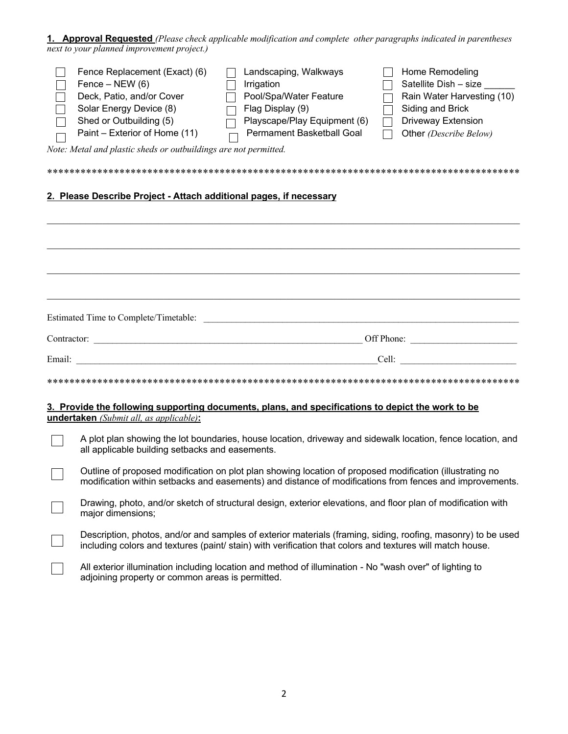**1. Approval Requested** *(Please check applicable modification and complete other paragraphs indicated in parentheses next to your planned improvement project.)*

|        | Fence Replacement (Exact) (6)<br>Fence $-$ NEW (6)<br>Deck, Patio, and/or Cover<br>Solar Energy Device (8)<br>Shed or Outbuilding (5)<br>Paint – Exterior of Home (11)<br>Note: Metal and plastic sheds or outbuildings are not permitted. | Landscaping, Walkways<br>Irrigation<br>Pool/Spa/Water Feature<br>Flag Display (9)<br>Playscape/Play Equipment (6)<br><b>Permament Basketball Goal</b>                                                                     | Home Remodeling<br>Satellite Dish - size<br>Rain Water Harvesting (10)<br>Siding and Brick<br>Driveway Extension<br>Other (Describe Below)                                                                                     |  |
|--------|--------------------------------------------------------------------------------------------------------------------------------------------------------------------------------------------------------------------------------------------|---------------------------------------------------------------------------------------------------------------------------------------------------------------------------------------------------------------------------|--------------------------------------------------------------------------------------------------------------------------------------------------------------------------------------------------------------------------------|--|
|        |                                                                                                                                                                                                                                            |                                                                                                                                                                                                                           |                                                                                                                                                                                                                                |  |
|        | 2. Please Describe Project - Attach additional pages, if necessary                                                                                                                                                                         |                                                                                                                                                                                                                           |                                                                                                                                                                                                                                |  |
|        |                                                                                                                                                                                                                                            |                                                                                                                                                                                                                           |                                                                                                                                                                                                                                |  |
|        |                                                                                                                                                                                                                                            |                                                                                                                                                                                                                           |                                                                                                                                                                                                                                |  |
|        |                                                                                                                                                                                                                                            |                                                                                                                                                                                                                           |                                                                                                                                                                                                                                |  |
|        |                                                                                                                                                                                                                                            |                                                                                                                                                                                                                           |                                                                                                                                                                                                                                |  |
|        |                                                                                                                                                                                                                                            |                                                                                                                                                                                                                           |                                                                                                                                                                                                                                |  |
|        |                                                                                                                                                                                                                                            |                                                                                                                                                                                                                           |                                                                                                                                                                                                                                |  |
| Email: |                                                                                                                                                                                                                                            |                                                                                                                                                                                                                           | Cell: Experience of the state of the state of the state of the state of the state of the state of the state of the state of the state of the state of the state of the state of the state of the state of the state of the sta |  |
|        | <u> 1980 - Johann Barn, fransk politik fotograf (d. 1980)</u>                                                                                                                                                                              |                                                                                                                                                                                                                           |                                                                                                                                                                                                                                |  |
|        |                                                                                                                                                                                                                                            |                                                                                                                                                                                                                           |                                                                                                                                                                                                                                |  |
|        | undertaken (Submit all, as applicable):                                                                                                                                                                                                    | 3. Provide the following supporting documents, plans, and specifications to depict the work to be                                                                                                                         |                                                                                                                                                                                                                                |  |
|        | all applicable building setbacks and easements.                                                                                                                                                                                            | A plot plan showing the lot boundaries, house location, driveway and sidewalk location, fence location, and                                                                                                               |                                                                                                                                                                                                                                |  |
|        | Outline of proposed modification on plot plan showing location of proposed modification (illustrating no<br>modification within setbacks and easements) and distance of modifications from fences and improvements.                        |                                                                                                                                                                                                                           |                                                                                                                                                                                                                                |  |
|        | Drawing, photo, and/or sketch of structural design, exterior elevations, and floor plan of modification with<br>major dimensions;                                                                                                          |                                                                                                                                                                                                                           |                                                                                                                                                                                                                                |  |
|        |                                                                                                                                                                                                                                            | Description, photos, and/or and samples of exterior materials (framing, siding, roofing, masonry) to be used<br>including colors and textures (paint/ stain) with verification that colors and textures will match house. |                                                                                                                                                                                                                                |  |
|        | adjoining property or common areas is permitted.                                                                                                                                                                                           | All exterior illumination including location and method of illumination - No "wash over" of lighting to                                                                                                                   |                                                                                                                                                                                                                                |  |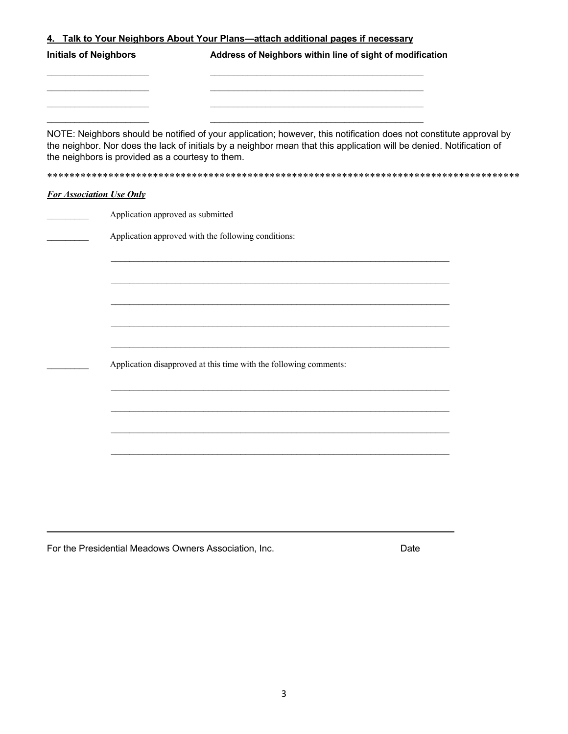| <b>Initials of Neighbors</b>                        | Address of Neighbors within line of sight of modification                                                                                                                                                                                  |
|-----------------------------------------------------|--------------------------------------------------------------------------------------------------------------------------------------------------------------------------------------------------------------------------------------------|
| the neighbors is provided as a courtesy to them.    | NOTE: Neighbors should be notified of your application; however, this notification does not constitute approval by<br>the neighbor. Nor does the lack of initials by a neighbor mean that this application will be denied. Notification of |
| <b>For Association Use Only</b>                     |                                                                                                                                                                                                                                            |
| Application approved as submitted                   |                                                                                                                                                                                                                                            |
| Application approved with the following conditions: |                                                                                                                                                                                                                                            |
|                                                     |                                                                                                                                                                                                                                            |
|                                                     |                                                                                                                                                                                                                                            |
|                                                     |                                                                                                                                                                                                                                            |
|                                                     |                                                                                                                                                                                                                                            |
|                                                     | Application disapproved at this time with the following comments:                                                                                                                                                                          |
|                                                     |                                                                                                                                                                                                                                            |
|                                                     |                                                                                                                                                                                                                                            |
|                                                     |                                                                                                                                                                                                                                            |
|                                                     |                                                                                                                                                                                                                                            |
|                                                     |                                                                                                                                                                                                                                            |

For the Presidential Meadows Owners Association, Inc. **Example 20 Inc.** Date

**\_\_\_\_\_\_\_\_\_\_\_\_\_\_\_\_\_\_\_\_\_\_\_\_\_\_\_\_\_\_\_\_\_\_\_\_\_\_\_\_\_\_\_\_\_\_\_\_\_\_\_\_\_\_\_\_\_\_\_\_\_\_\_\_\_\_\_\_\_\_\_\_\_\_\_\_\_\_\_**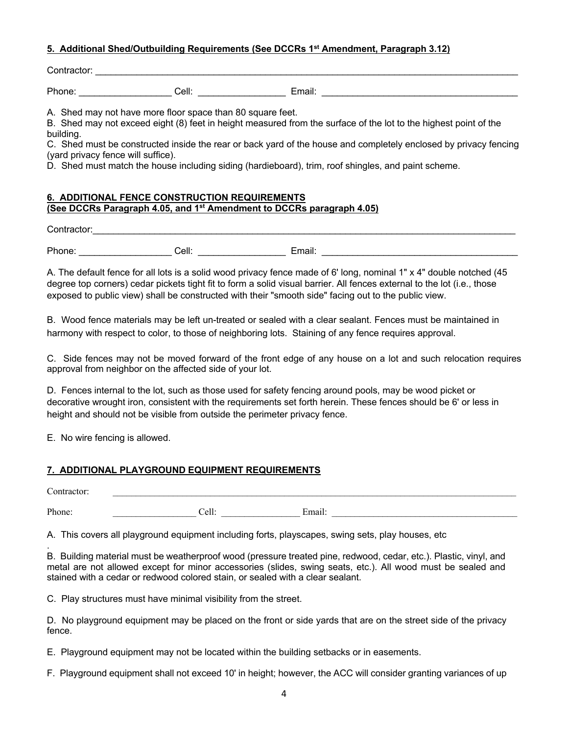## **5. Additional Shed/Outbuilding Requirements (See DCCRs 1st Amendment, Paragraph 3.12)**

| $\sim$<br>- --<br>∴∩ntract∩r<br>. |  |  |  |  |
|-----------------------------------|--|--|--|--|
|                                   |  |  |  |  |

Phone: Cell: Cell: Email: 2009 Email: 2009 Email: 2009 Email: 2009 Email: 2009 Email: 2009 Email: 2009 Email: 2009 Email: 2009 Email: 2009 Email: 2009 Email: 2009 Email: 2009 Email: 2009 Email: 2009 Email: 2009 Email: 2009

A. Shed may not have more floor space than 80 square feet.

B. Shed may not exceed eight (8) feet in height measured from the surface of the lot to the highest point of the building.

C. Shed must be constructed inside the rear or back yard of the house and completely enclosed by privacy fencing (yard privacy fence will suffice).

D. Shed must match the house including siding (hardieboard), trim, roof shingles, and paint scheme.

### **6. ADDITIONAL FENCE CONSTRUCTION REQUIREMENTS (See DCCRs Paragraph 4.05, and 1st Amendment to DCCRs paragraph 4.05)**

| Contractor: |       |        |  |
|-------------|-------|--------|--|
|             |       |        |  |
| Dh.<br>.    | Cell: | Email: |  |

A. The default fence for all lots is a solid wood privacy fence made of 6' long, nominal 1" x 4" double notched (45 degree top corners) cedar pickets tight fit to form a solid visual barrier. All fences external to the lot (i.e., those exposed to public view) shall be constructed with their "smooth side" facing out to the public view.

B. Wood fence materials may be left un-treated or sealed with a clear sealant. Fences must be maintained in harmony with respect to color, to those of neighboring lots. Staining of any fence requires approval.

C. Side fences may not be moved forward of the front edge of any house on a lot and such relocation requires approval from neighbor on the affected side of your lot.

D. Fences internal to the lot, such as those used for safety fencing around pools, may be wood picket or decorative wrought iron, consistent with the requirements set forth herein. These fences should be 6' or less in height and should not be visible from outside the perimeter privacy fence.

E. No wire fencing is allowed.

## **7. ADDITIONAL PLAYGROUND EQUIPMENT REQUIREMENTS**

| Contractor: |                       |        |
|-------------|-----------------------|--------|
| Phone:      | $\degree$ ell $\cdot$ | Email: |

A. This covers all playground equipment including forts, playscapes, swing sets, play houses, etc

. B. Building material must be weatherproof wood (pressure treated pine, redwood, cedar, etc.). Plastic, vinyl, and metal are not allowed except for minor accessories (slides, swing seats, etc.). All wood must be sealed and stained with a cedar or redwood colored stain, or sealed with a clear sealant.

C. Play structures must have minimal visibility from the street.

D. No playground equipment may be placed on the front or side yards that are on the street side of the privacy fence.

E. Playground equipment may not be located within the building setbacks or in easements.

F. Playground equipment shall not exceed 10' in height; however, the ACC will consider granting variances of up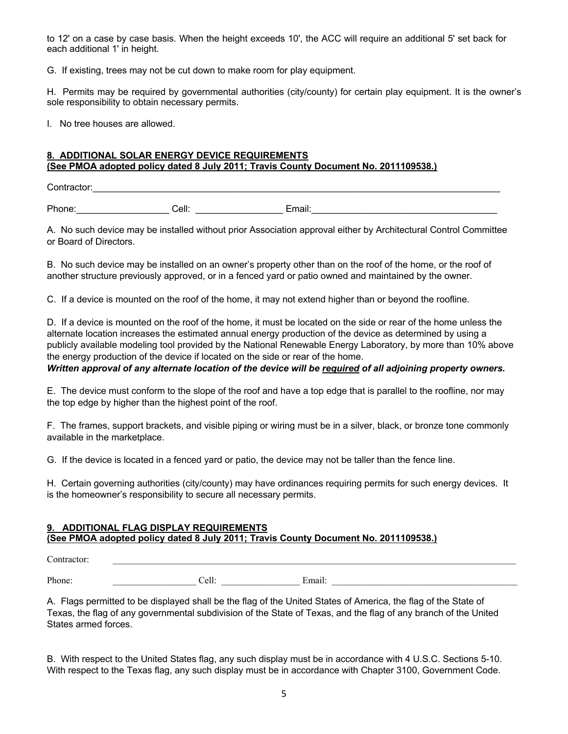to 12' on a case by case basis. When the height exceeds 10', the ACC will require an additional 5' set back for each additional 1' in height.

G. If existing, trees may not be cut down to make room for play equipment.

H. Permits may be required by governmental authorities (city/county) for certain play equipment. It is the owner's sole responsibility to obtain necessary permits.

I. No tree houses are allowed.

## **8. ADDITIONAL SOLAR ENERGY DEVICE REQUIREMENTS (See PMOA adopted policy dated 8 July 2011; Travis County Document No. 2011109538.)**

Contractor:

Phone: Cell: Cell: Email: Email: Email: Email: Email: Email: Email: Email: Email: Email: Email: Email: Email: Email: Email: Email: Email: Email: Email: Email: Email: Email: Email: Email: Email: Email: Email: Email: Email:

A. No such device may be installed without prior Association approval either by Architectural Control Committee or Board of Directors.

B. No such device may be installed on an owner's property other than on the roof of the home, or the roof of another structure previously approved, or in a fenced yard or patio owned and maintained by the owner.

C. If a device is mounted on the roof of the home, it may not extend higher than or beyond the roofline.

D. If a device is mounted on the roof of the home, it must be located on the side or rear of the home unless the alternate location increases the estimated annual energy production of the device as determined by using a publicly available modeling tool provided by the National Renewable Energy Laboratory, by more than 10% above the energy production of the device if located on the side or rear of the home.

*Written approval of any alternate location of the device will be required of all adjoining property owners.*

E. The device must conform to the slope of the roof and have a top edge that is parallel to the roofline, nor may the top edge by higher than the highest point of the roof.

F. The frames, support brackets, and visible piping or wiring must be in a silver, black, or bronze tone commonly available in the marketplace.

G. If the device is located in a fenced yard or patio, the device may not be taller than the fence line.

H. Certain governing authorities (city/county) may have ordinances requiring permits for such energy devices. It is the homeowner's responsibility to secure all necessary permits.

### **9. ADDITIONAL FLAG DISPLAY REQUIREMENTS (See PMOA adopted policy dated 8 July 2011; Travis County Document No. 2011109538.)**

Contractor:

Phone: \_\_\_\_\_\_\_\_\_\_\_\_\_\_\_\_\_\_ Cell: \_\_\_\_\_\_\_\_\_\_\_\_\_\_\_\_\_ Email: \_\_\_\_\_\_\_\_\_\_\_\_\_\_\_\_\_\_\_\_\_\_\_\_\_\_\_\_\_\_\_\_\_\_\_\_\_\_\_\_

A. Flags permitted to be displayed shall be the flag of the United States of America, the flag of the State of Texas, the flag of any governmental subdivision of the State of Texas, and the flag of any branch of the United States armed forces.

B. With respect to the United States flag, any such display must be in accordance with 4 U.S.C. Sections 5-10. With respect to the Texas flag, any such display must be in accordance with Chapter 3100, Government Code.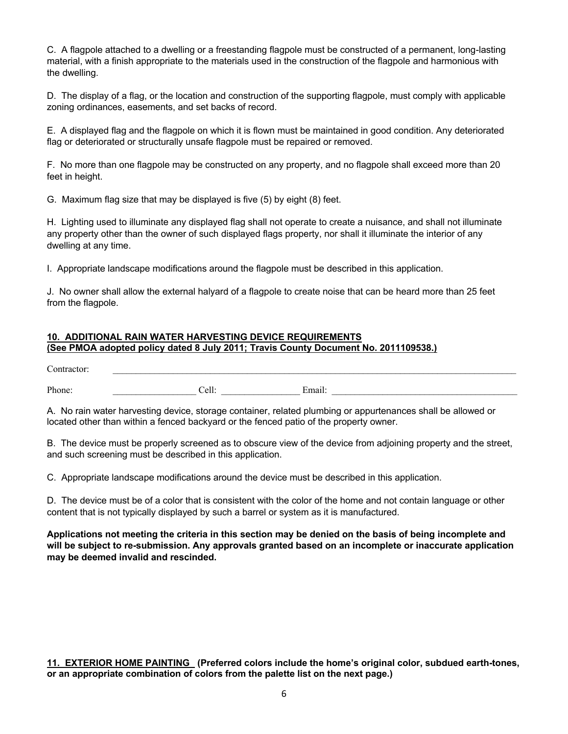C. A flagpole attached to a dwelling or a freestanding flagpole must be constructed of a permanent, long-lasting material, with a finish appropriate to the materials used in the construction of the flagpole and harmonious with the dwelling.

D. The display of a flag, or the location and construction of the supporting flagpole, must comply with applicable zoning ordinances, easements, and set backs of record.

E. A displayed flag and the flagpole on which it is flown must be maintained in good condition. Any deteriorated flag or deteriorated or structurally unsafe flagpole must be repaired or removed.

F. No more than one flagpole may be constructed on any property, and no flagpole shall exceed more than 20 feet in height.

G. Maximum flag size that may be displayed is five (5) by eight (8) feet.

H. Lighting used to illuminate any displayed flag shall not operate to create a nuisance, and shall not illuminate any property other than the owner of such displayed flags property, nor shall it illuminate the interior of any dwelling at any time.

I. Appropriate landscape modifications around the flagpole must be described in this application.

J. No owner shall allow the external halyard of a flagpole to create noise that can be heard more than 25 feet from the flagpole.

#### **10. ADDITIONAL RAIN WATER HARVESTING DEVICE REQUIREMENTS (See PMOA adopted policy dated 8 July 2011; Travis County Document No. 2011109538.)**

| ∼<br>$\sim$                              |                   |  |
|------------------------------------------|-------------------|--|
| $\mathbf{D}$<br>hone<br>111011 <b>0.</b> | ~ I<br>$\tilde{}$ |  |

A. No rain water harvesting device, storage container, related plumbing or appurtenances shall be allowed or located other than within a fenced backyard or the fenced patio of the property owner.

B. The device must be properly screened as to obscure view of the device from adjoining property and the street, and such screening must be described in this application.

C. Appropriate landscape modifications around the device must be described in this application.

D. The device must be of a color that is consistent with the color of the home and not contain language or other content that is not typically displayed by such a barrel or system as it is manufactured.

**Applications not meeting the criteria in this section may be denied on the basis of being incomplete and will be subject to re-submission. Any approvals granted based on an incomplete or inaccurate application may be deemed invalid and rescinded.**

**11. EXTERIOR HOME PAINTING (Preferred colors include the home's original color, subdued earth-tones, or an appropriate combination of colors from the palette list on the next page.)**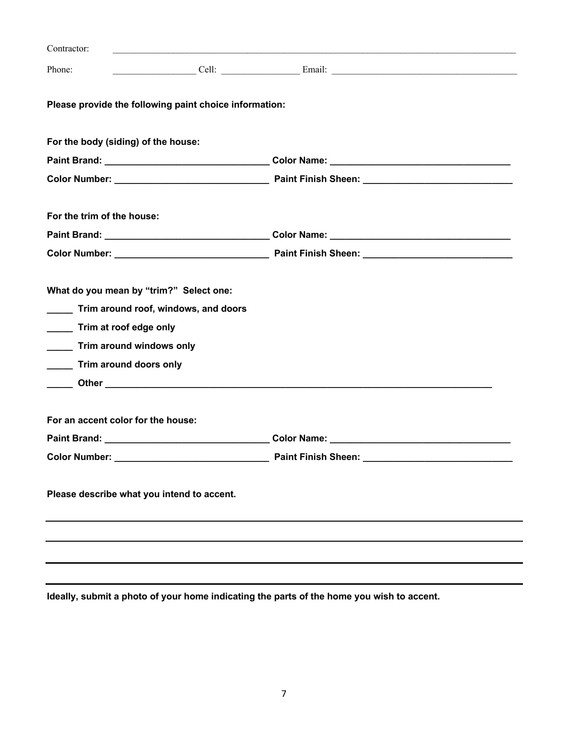| Contractor:                                            |                                                                                                                                                                                                                                      |  |
|--------------------------------------------------------|--------------------------------------------------------------------------------------------------------------------------------------------------------------------------------------------------------------------------------------|--|
| Phone:                                                 | <u> Email: Email: Email: Email: Email: Email: Email: Email: Email: Email: Email: Email: Email: Email: Email: Email: Email: Email: Email: Email: Email: Email: Email: Email: Email: Email: Email: Email: Email: Email: Email: Ema</u> |  |
| Please provide the following paint choice information: |                                                                                                                                                                                                                                      |  |
| For the body (siding) of the house:                    |                                                                                                                                                                                                                                      |  |
|                                                        |                                                                                                                                                                                                                                      |  |
|                                                        |                                                                                                                                                                                                                                      |  |
| For the trim of the house:                             |                                                                                                                                                                                                                                      |  |
|                                                        |                                                                                                                                                                                                                                      |  |
|                                                        |                                                                                                                                                                                                                                      |  |
| What do you mean by "trim?" Select one:                |                                                                                                                                                                                                                                      |  |
| Trim around roof, windows, and doors                   |                                                                                                                                                                                                                                      |  |
| Trim at roof edge only                                 |                                                                                                                                                                                                                                      |  |
| Trim around windows only                               |                                                                                                                                                                                                                                      |  |
| Trim around doors only                                 |                                                                                                                                                                                                                                      |  |
|                                                        |                                                                                                                                                                                                                                      |  |
| For an accent color for the house:                     |                                                                                                                                                                                                                                      |  |
|                                                        | <b>Paint Brand:</b> Color Name: Color Name:                                                                                                                                                                                          |  |
| <b>Color Number:</b>                                   | <b>Paint Finish Sheen:</b>                                                                                                                                                                                                           |  |
| Please describe what you intend to accent.             |                                                                                                                                                                                                                                      |  |
|                                                        |                                                                                                                                                                                                                                      |  |
|                                                        |                                                                                                                                                                                                                                      |  |
|                                                        |                                                                                                                                                                                                                                      |  |

**Ideally, submit a photo of your home indicating the parts of the home you wish to accent.**